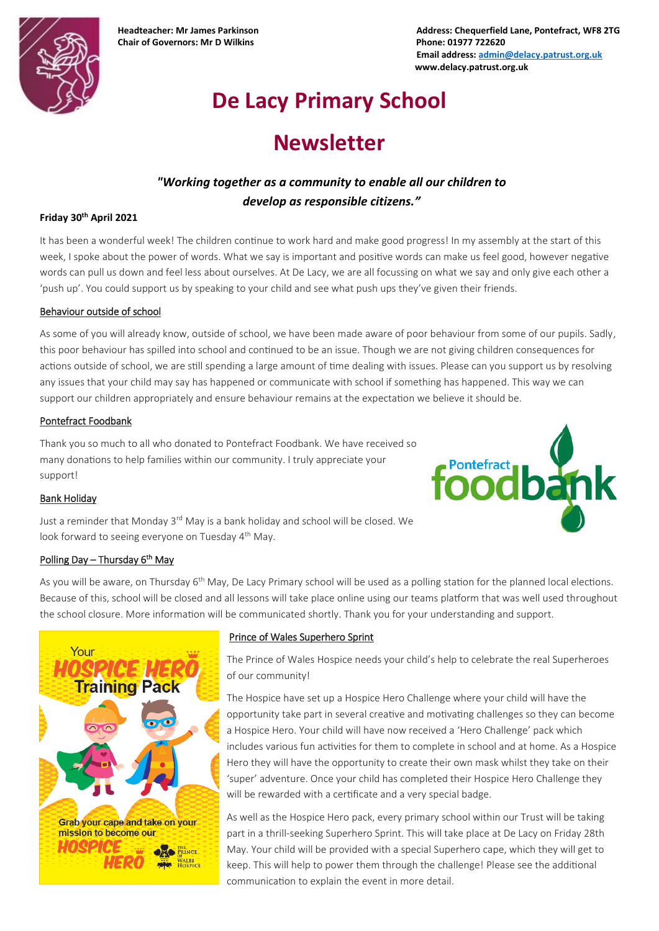

**Chair of Governors: Mr D Wilkins Phone: 01977 722620**

**Headteacher: Mr James Parkinson Address: Chequerfield Lane, Pontefract, WF8 2TG Email address[: admin@delacy.patrust.org.uk](mailto:admin@delacy.patrust.org.uk) www.delacy.patrust.org.uk**

# **De Lacy Primary School**

## **Newsletter**

### *"Working together as a community to enable all our children to develop as responsible citizens."*

#### **Friday 30th April 2021**

It has been a wonderful week! The children continue to work hard and make good progress! In my assembly at the start of this week, I spoke about the power of words. What we say is important and positive words can make us feel good, however negative words can pull us down and feel less about ourselves. At De Lacy, we are all focussing on what we say and only give each other a 'push up'. You could support us by speaking to your child and see what push ups they've given their friends.

#### Behaviour outside of school

As some of you will already know, outside of school, we have been made aware of poor behaviour from some of our pupils. Sadly, this poor behaviour has spilled into school and continued to be an issue. Though we are not giving children consequences for actions outside of school, we are still spending a large amount of time dealing with issues. Please can you support us by resolving any issues that your child may say has happened or communicate with school if something has happened. This way we can support our children appropriately and ensure behaviour remains at the expectation we believe it should be.

#### Pontefract Foodbank

Thank you so much to all who donated to Pontefract Foodbank. We have received so many donations to help families within our community. I truly appreciate your support!



#### Bank Holiday

Just a reminder that Monday 3<sup>rd</sup> May is a bank holiday and school will be closed. We look forward to seeing everyone on Tuesday 4<sup>th</sup> May.

#### Polling Day – Thursday 6<sup>th</sup> May

As you will be aware, on Thursday 6<sup>th</sup> May, De Lacy Primary school will be used as a polling station for the planned local elections. Because of this, school will be closed and all lessons will take place online using our teams platform that was well used throughout the school closure. More information will be communicated shortly. Thank you for your understanding and support.



#### Prince of Wales Superhero Sprint

The Prince of Wales Hospice needs your child's help to celebrate the real Superheroes of our community!

The Hospice have set up a Hospice Hero Challenge where your child will have the opportunity take part in several creative and motivating challenges so they can become a Hospice Hero. Your child will have now received a 'Hero Challenge' pack which includes various fun activities for them to complete in school and at home. As a Hospice Hero they will have the opportunity to create their own mask whilst they take on their 'super' adventure. Once your child has completed their Hospice Hero Challenge they will be rewarded with a certificate and a very special badge.

As well as the Hospice Hero pack, every primary school within our Trust will be taking part in a thrill-seeking Superhero Sprint. This will take place at De Lacy on Friday 28th May. Your child will be provided with a special Superhero cape, which they will get to keep. This will help to power them through the challenge! Please see the additional communication to explain the event in more detail.